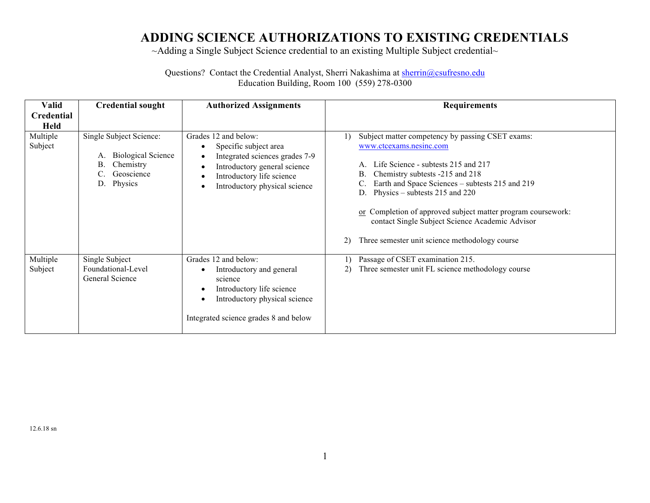## **ADDING SCIENCE AUTHORIZATIONS TO EXISTING CREDENTIALS**

~Adding a Single Subject Science credential to an existing Multiple Subject credential~

Questions? Contact the Credential Analyst, Sherri Nakashima at sherrin@csufresno.edu Education Building, Room 100 (559) 278-0300

| <b>Valid</b><br><b>Credential</b> | <b>Credential sought</b>                                                                                     | <b>Authorized Assignments</b>                                                                                                                                                                                     | <b>Requirements</b>                                                                                                                                                                                                                                                                                                                                                                                                                   |
|-----------------------------------|--------------------------------------------------------------------------------------------------------------|-------------------------------------------------------------------------------------------------------------------------------------------------------------------------------------------------------------------|---------------------------------------------------------------------------------------------------------------------------------------------------------------------------------------------------------------------------------------------------------------------------------------------------------------------------------------------------------------------------------------------------------------------------------------|
| <b>Held</b>                       |                                                                                                              |                                                                                                                                                                                                                   |                                                                                                                                                                                                                                                                                                                                                                                                                                       |
| Multiple<br>Subject               | Single Subject Science:<br><b>Biological Science</b><br>А.<br>Chemistry<br>В.<br>Geoscience<br>Physics<br>D. | Grades 12 and below:<br>Specific subject area<br>٠<br>Integrated sciences grades 7-9<br>Introductory general science<br>$\bullet$<br>Introductory life science<br>٠<br>Introductory physical science<br>$\bullet$ | Subject matter competency by passing CSET exams:<br>www.ctcexams.nesinc.com<br>Life Science - subtests 215 and 217<br>А.<br>Chemistry subtests -215 and 218<br>В.<br>Earth and Space Sciences - subtests 215 and 219<br>Physics – subtests $215$ and $220$<br>or Completion of approved subject matter program coursework:<br>contact Single Subject Science Academic Advisor<br>Three semester unit science methodology course<br>2) |
| Multiple<br>Subject               | Single Subject<br>Foundational-Level<br>General Science                                                      | Grades 12 and below:<br>Introductory and general<br>science<br>Introductory life science<br>٠<br>Introductory physical science<br>$\bullet$<br>Integrated science grades 8 and below                              | Passage of CSET examination 215.<br>Three semester unit FL science methodology course                                                                                                                                                                                                                                                                                                                                                 |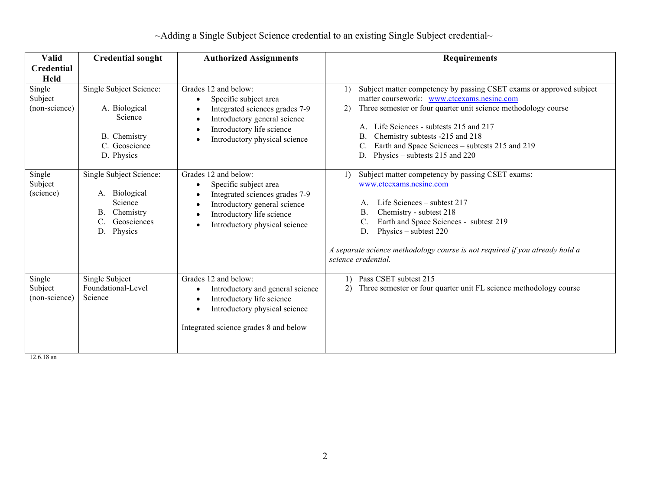| $\sim$ Adding a Single Subject Science credential to an existing Single Subject credential $\sim$ |
|---------------------------------------------------------------------------------------------------|
|---------------------------------------------------------------------------------------------------|

| Valid                              | <b>Credential sought</b>                                                                                     | <b>Authorized Assignments</b>                                                                                                                                                      | <b>Requirements</b>                                                                                                                                                                                                                                                                                                                                                         |
|------------------------------------|--------------------------------------------------------------------------------------------------------------|------------------------------------------------------------------------------------------------------------------------------------------------------------------------------------|-----------------------------------------------------------------------------------------------------------------------------------------------------------------------------------------------------------------------------------------------------------------------------------------------------------------------------------------------------------------------------|
| Credential                         |                                                                                                              |                                                                                                                                                                                    |                                                                                                                                                                                                                                                                                                                                                                             |
| <b>Held</b>                        |                                                                                                              |                                                                                                                                                                                    |                                                                                                                                                                                                                                                                                                                                                                             |
| Single<br>Subject<br>(non-science) | Single Subject Science:<br>A. Biological<br>Science<br>B. Chemistry<br>C. Geoscience<br>D. Physics           | Grades 12 and below:<br>Specific subject area<br>٠<br>Integrated sciences grades 7-9<br>Introductory general science<br>Introductory life science<br>Introductory physical science | Subject matter competency by passing CSET exams or approved subject<br>matter coursework: www.ctcexams.nesinc.com<br>Three semester or four quarter unit science methodology course<br>2)<br>Life Sciences - subtests 215 and 217<br>А.<br>Chemistry subtests -215 and 218<br>В.<br>Earth and Space Sciences - subtests 215 and 219<br>Physics – subtests 215 and 220<br>D. |
| Single<br>Subject<br>(science)     | Single Subject Science:<br>A. Biological<br>Science<br>Chemistry<br>Β.<br>C.<br>Geosciences<br>Physics<br>D. | Grades 12 and below:<br>Specific subject area<br>Integrated sciences grades 7-9<br>Introductory general science<br>Introductory life science<br>Introductory physical science      | Subject matter competency by passing CSET exams:<br>www.ctcexams.nesinc.com<br>Life Sciences – subtest 217<br>Chemistry - subtest 218<br>В.<br>C.<br>Earth and Space Sciences - subtest 219<br>Physics – subtest $220$<br>D.<br>A separate science methodology course is not required if you already hold a<br>science credential.                                          |
| Single<br>Subject<br>(non-science) | Single Subject<br>Foundational-Level<br>Science                                                              | Grades 12 and below:<br>Introductory and general science<br>Introductory life science<br>Introductory physical science<br>Integrated science grades 8 and below                    | Pass CSET subtest 215<br>1)<br>Three semester or four quarter unit FL science methodology course                                                                                                                                                                                                                                                                            |

12.6.18 sn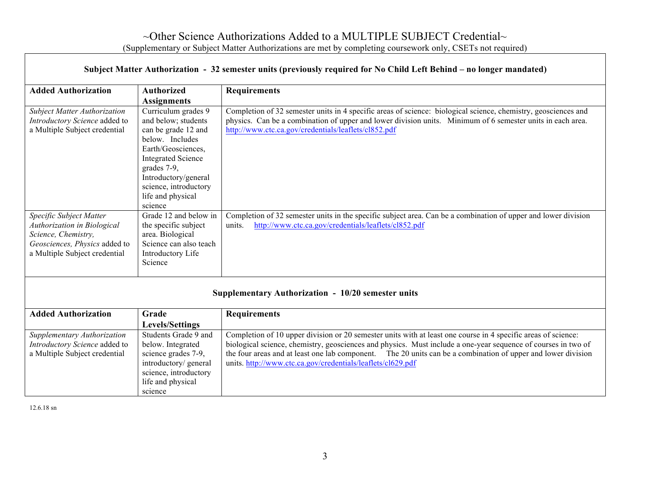| Subject Matter Authorization - 32 semester units (previously required for No Child Left Behind – no longer mandated)                            |                                                                                                                                                                                                                                         |                                                                                                                                                                                                                                                                                                                                                |  |  |
|-------------------------------------------------------------------------------------------------------------------------------------------------|-----------------------------------------------------------------------------------------------------------------------------------------------------------------------------------------------------------------------------------------|------------------------------------------------------------------------------------------------------------------------------------------------------------------------------------------------------------------------------------------------------------------------------------------------------------------------------------------------|--|--|
| <b>Added Authorization</b>                                                                                                                      | <b>Authorized</b>                                                                                                                                                                                                                       | <b>Requirements</b>                                                                                                                                                                                                                                                                                                                            |  |  |
|                                                                                                                                                 | <b>Assignments</b>                                                                                                                                                                                                                      |                                                                                                                                                                                                                                                                                                                                                |  |  |
| <b>Subject Matter Authorization</b><br>Introductory Science added to<br>a Multiple Subject credential                                           | Curriculum grades 9<br>and below; students<br>can be grade 12 and<br>below. Includes<br>Earth/Geosciences,<br><b>Integrated Science</b><br>grades 7-9,<br>Introductory/general<br>science, introductory<br>life and physical<br>science | Completion of 32 semester units in 4 specific areas of science: biological science, chemistry, geosciences and<br>physics. Can be a combination of upper and lower division units. Minimum of 6 semester units in each area.<br>http://www.ctc.ca.gov/credentials/leaflets/cl852.pdf                                                           |  |  |
| Specific Subject Matter<br>Authorization in Biological<br>Science, Chemistry,<br>Geosciences, Physics added to<br>a Multiple Subject credential | Grade 12 and below in<br>the specific subject<br>area. Biological<br>Science can also teach<br>Introductory Life<br>Science                                                                                                             | Completion of 32 semester units in the specific subject area. Can be a combination of upper and lower division<br>http://www.ctc.ca.gov/credentials/leaflets/cl852.pdf<br>units.                                                                                                                                                               |  |  |
|                                                                                                                                                 |                                                                                                                                                                                                                                         | Supplementary Authorization - 10/20 semester units                                                                                                                                                                                                                                                                                             |  |  |
| <b>Added Authorization</b>                                                                                                                      | Grade<br><b>Levels/Settings</b>                                                                                                                                                                                                         | <b>Requirements</b>                                                                                                                                                                                                                                                                                                                            |  |  |
| Supplementary Authorization<br>Introductory Science added to<br>a Multiple Subject credential                                                   | Students Grade 9 and<br>below. Integrated<br>science grades 7-9.                                                                                                                                                                        | Completion of 10 upper division or 20 semester units with at least one course in 4 specific areas of science:<br>biological science, chemistry, geosciences and physics. Must include a one-year sequence of courses in two of<br>the four areas and at least one lab component. The 20 units can be a combination of upper and lower division |  |  |

12.6.18 sn

introductory/ general science, introductory life and physical

science

units. http://www.ctc.ca.gov/credentials/leaflets/cl629.pdf